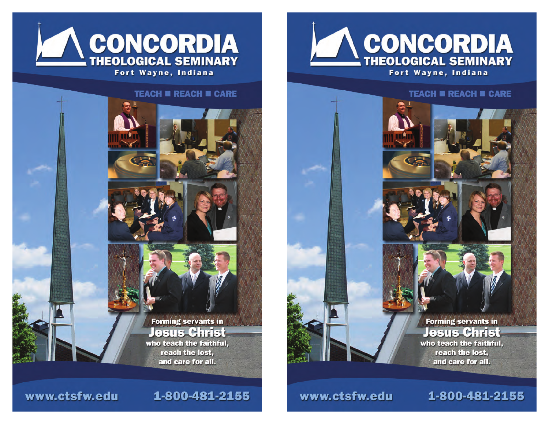

#### **TEACH II REACH II CARE**

1-800-481-2155



www.ctsfw.edu





**Forming servants in Jesus Christ** who teach the faithful, reach the lost, and care for all.

#### www.ctsfw.edu

1-800-481-2155